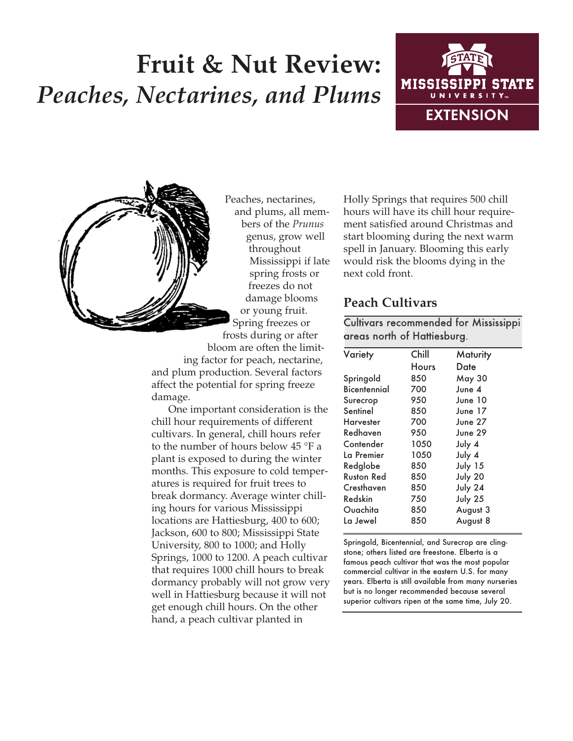# **Fruit & Nut Review:** *Peaches, Nectarines, and Plums*





Peaches, nectarines, and plums, all members of the *Prunus* genus, grow well throughout Mississippi if late spring frosts or freezes do not damage blooms or young fruit. Spring freezes or frosts during or after bloom are often the limiting factor for peach, nectarine,

and plum production. Several factors affect the potential for spring freeze damage.

One important consideration is the chill hour requirements of different cultivars. In general, chill hours refer to the number of hours below 45 °F a plant is exposed to during the winter months. This exposure to cold temperatures is required for fruit trees to break dormancy. Average winter chilling hours for various Mississippi locations are Hattiesburg, 400 to 600; Jackson, 600 to 800; Mississippi State University, 800 to 1000; and Holly Springs, 1000 to 1200. A peach cultivar that requires 1000 chill hours to break dormancy probably will not grow very well in Hattiesburg because it will not get enough chill hours. On the other hand, a peach cultivar planted in

Holly Springs that requires 500 chill hours will have its chill hour requirement satisfied around Christmas and start blooming during the next warm spell in January. Blooming this early would risk the blooms dying in the next cold front.

# **Peach Cultivars**

Cultivars recommended for Mississippi areas north of Hattiesburg.

| Variety      | Chill        | Maturity      |  |
|--------------|--------------|---------------|--|
|              | <b>Hours</b> | Date          |  |
| Springold    | 850          | <b>May 30</b> |  |
| Bicentennial | 700          | June $4$      |  |
| Surecrop     | 950          | June 10       |  |
| Sentinel     | 850          | June 17       |  |
| Harvester    | 700          | June 27       |  |
| Redhaven     | 950          | June 29       |  |
| Contender    | 1050         | July 4        |  |
| La Premier   | 1050         | July 4        |  |
| Redglobe     | 850          | July 15       |  |
| Ruston Red   | 850          | July 20       |  |
| Cresthaven   | 850          | July 24       |  |
| Redskin      | 750          | July 25       |  |
| Ouachita     | 850          | August 3      |  |
| La Jewel     | 850          | August 8      |  |
|              |              |               |  |

Springold, Bicentennial, and Surecrop are clingstone; others listed are freestone. Elberta is a famous peach cultivar that was the most popular commercial cultivar in the eastern U.S. for many years. Elberta is still available from many nurseries but is no longer recommended because several superior cultivars ripen at the same time, July 20.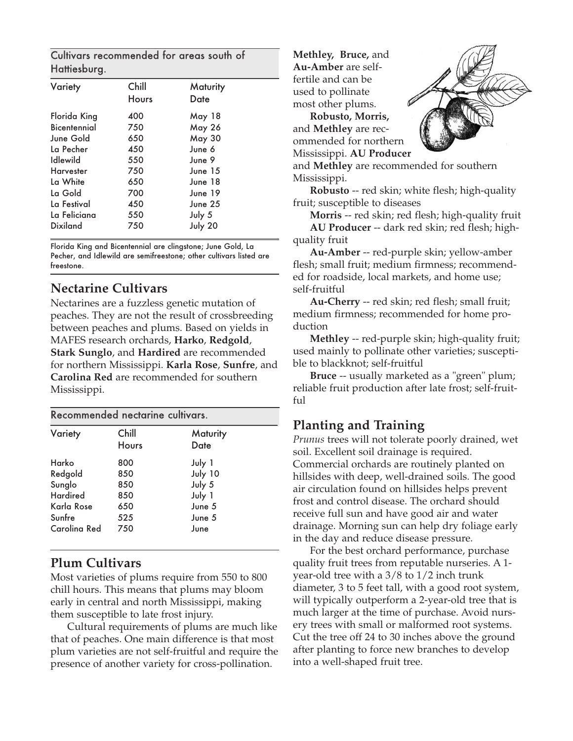Cultivars recommended for areas south of Hattiesburg.

| Variety         | Chill<br><b>Hours</b> | Maturity<br>Date |  |
|-----------------|-----------------------|------------------|--|
| Florida King    | 400                   | May 18           |  |
| Bicentennial    | 750                   | <b>May 26</b>    |  |
| June Gold       | 650                   | <b>May 30</b>    |  |
| La Pecher       | 450                   | June 6           |  |
| Idlewild        | 550                   | June 9           |  |
| Harvester       | 750                   | June 15          |  |
| La White        | 650                   | June 18          |  |
| La Gold         | 700                   | June 19          |  |
| La Festival     | 450                   | June 25          |  |
| La Feliciana    | 550                   | July 5           |  |
| <b>Dixiland</b> | 750                   | July 20          |  |
|                 |                       |                  |  |

Florida King and Bicentennial are clingstone; June Gold, La Pecher, and Idlewild are semifreestone; other cultivars listed are freestone.

## **Nectarine Cultivars**

Nectarines are a fuzzless genetic mutation of peaches. They are not the result of crossbreeding between peaches and plums. Based on yields in MAFES research orchards, **Harko**, **Redgold**, **Stark Sunglo**, and **Hardired** are recommended for northern Mississippi. **Karla Rose**, **Sunfre**, and **Carolina Red** are recommended for southern Mississippi.

| Recommended nectarine cultivars. |              |                 |  |  |  |
|----------------------------------|--------------|-----------------|--|--|--|
| Variety                          | Chill        | <b>Maturity</b> |  |  |  |
|                                  | <b>Hours</b> | Date            |  |  |  |
| Harko                            | 800          | July 1          |  |  |  |
| Redgold                          | 850          | July 10         |  |  |  |
| Sunglo                           | 850          | July 5          |  |  |  |
| <b>Hardired</b>                  | 850          | July 1          |  |  |  |
| Karla Rose                       | 650          | June 5          |  |  |  |
| Sunfre                           | 525          | June 5          |  |  |  |
| Carolina Red                     | 750          | June            |  |  |  |

# **Plum Cultivars**

Most varieties of plums require from 550 to 800 chill hours. This means that plums may bloom early in central and north Mississippi, making them susceptible to late frost injury.

Cultural requirements of plums are much like that of peaches. One main difference is that most plum varieties are not self-fruitful and require the presence of another variety for cross-pollination.

**Methley, Bruce,** and **Au-Amber** are selffertile and can be used to pollinate most other plums.

**Robusto, Morris,** and **Methley** are recommended for northern Mississippi. **AU Producer**



and **Methley** are recommended for southern Mississippi.

**Robusto** -- red skin; white flesh; high-quality fruit; susceptible to diseases

**Morris** -- red skin; red flesh; high-quality fruit **AU Producer** -- dark red skin; red flesh; high-

quality fruit

**Au-Amber** -- red-purple skin; yellow-amber flesh; small fruit; medium firmness; recommended for roadside, local markets, and home use; self-fruitful

**Au-Cherry** -- red skin; red flesh; small fruit; medium firmness; recommended for home production

**Methley** -- red-purple skin; high-quality fruit; used mainly to pollinate other varieties; susceptible to blackknot; self-fruitful

**Bruce** -- usually marketed as a "green" plum; reliable fruit production after late frost; self-fruitful

# **Planting and Training**

*Prunus* trees will not tolerate poorly drained, wet soil. Excellent soil drainage is required. Commercial orchards are routinely planted on hillsides with deep, well-drained soils. The good air circulation found on hillsides helps prevent frost and control disease. The orchard should receive full sun and have good air and water drainage. Morning sun can help dry foliage early in the day and reduce disease pressure.

For the best orchard performance, purchase quality fruit trees from reputable nurseries. A 1 year-old tree with a 3/8 to 1/2 inch trunk diameter, 3 to 5 feet tall, with a good root system, will typically outperform a 2-year-old tree that is much larger at the time of purchase. Avoid nursery trees with small or malformed root systems. Cut the tree off 24 to 30 inches above the ground after planting to force new branches to develop into a well-shaped fruit tree.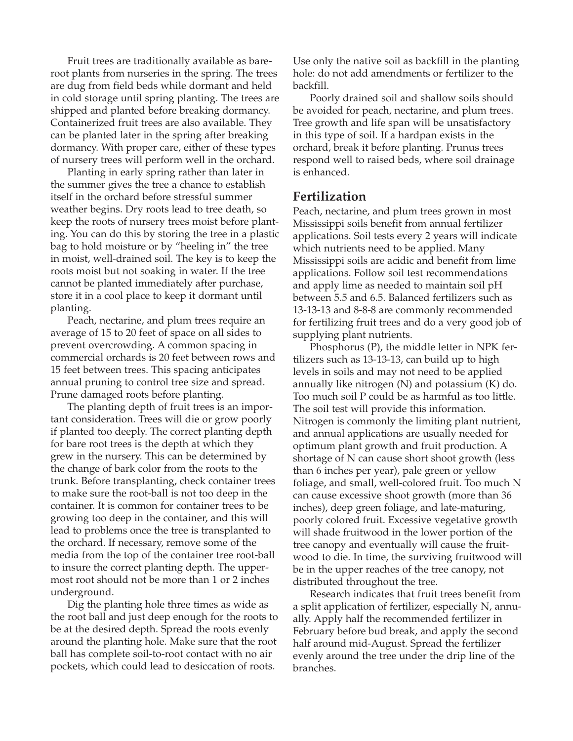Fruit trees are traditionally available as bareroot plants from nurseries in the spring. The trees are dug from field beds while dormant and held in cold storage until spring planting. The trees are shipped and planted before breaking dormancy. Containerized fruit trees are also available. They can be planted later in the spring after breaking dormancy. With proper care, either of these types of nursery trees will perform well in the orchard.

Planting in early spring rather than later in the summer gives the tree a chance to establish itself in the orchard before stressful summer weather begins. Dry roots lead to tree death, so keep the roots of nursery trees moist before planting. You can do this by storing the tree in a plastic bag to hold moisture or by "heeling in" the tree in moist, well-drained soil. The key is to keep the roots moist but not soaking in water. If the tree cannot be planted immediately after purchase, store it in a cool place to keep it dormant until planting.

Peach, nectarine, and plum trees require an average of 15 to 20 feet of space on all sides to prevent overcrowding. A common spacing in commercial orchards is 20 feet between rows and 15 feet between trees. This spacing anticipates annual pruning to control tree size and spread. Prune damaged roots before planting.

The planting depth of fruit trees is an important consideration. Trees will die or grow poorly if planted too deeply. The correct planting depth for bare root trees is the depth at which they grew in the nursery. This can be determined by the change of bark color from the roots to the trunk. Before transplanting, check container trees to make sure the root-ball is not too deep in the container. It is common for container trees to be growing too deep in the container, and this will lead to problems once the tree is transplanted to the orchard. If necessary, remove some of the media from the top of the container tree root-ball to insure the correct planting depth. The uppermost root should not be more than 1 or 2 inches underground.

Dig the planting hole three times as wide as the root ball and just deep enough for the roots to be at the desired depth. Spread the roots evenly around the planting hole. Make sure that the root ball has complete soil-to-root contact with no air pockets, which could lead to desiccation of roots.

Use only the native soil as backfill in the planting hole: do not add amendments or fertilizer to the backfill.

Poorly drained soil and shallow soils should be avoided for peach, nectarine, and plum trees. Tree growth and life span will be unsatisfactory in this type of soil. If a hardpan exists in the orchard, break it before planting. Prunus trees respond well to raised beds, where soil drainage is enhanced.

#### **Fertilization**

Peach, nectarine, and plum trees grown in most Mississippi soils benefit from annual fertilizer applications. Soil tests every 2 years will indicate which nutrients need to be applied. Many Mississippi soils are acidic and benefit from lime applications. Follow soil test recommendations and apply lime as needed to maintain soil pH between 5.5 and 6.5. Balanced fertilizers such as 13-13-13 and 8-8-8 are commonly recommended for fertilizing fruit trees and do a very good job of supplying plant nutrients.

Phosphorus (P), the middle letter in NPK fertilizers such as 13-13-13, can build up to high levels in soils and may not need to be applied annually like nitrogen (N) and potassium (K) do. Too much soil P could be as harmful as too little. The soil test will provide this information. Nitrogen is commonly the limiting plant nutrient, and annual applications are usually needed for optimum plant growth and fruit production. A shortage of N can cause short shoot growth (less than 6 inches per year), pale green or yellow foliage, and small, well-colored fruit. Too much N can cause excessive shoot growth (more than 36 inches), deep green foliage, and late-maturing, poorly colored fruit. Excessive vegetative growth will shade fruitwood in the lower portion of the tree canopy and eventually will cause the fruitwood to die. In time, the surviving fruitwood will be in the upper reaches of the tree canopy, not distributed throughout the tree.

Research indicates that fruit trees benefit from a split application of fertilizer, especially N, annually. Apply half the recommended fertilizer in February before bud break, and apply the second half around mid-August. Spread the fertilizer evenly around the tree under the drip line of the branches.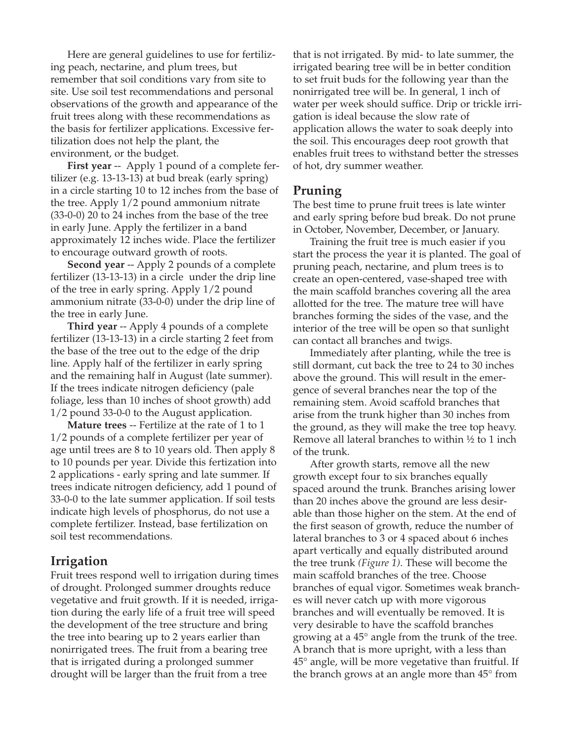Here are general guidelines to use for fertilizing peach, nectarine, and plum trees, but remember that soil conditions vary from site to site. Use soil test recommendations and personal observations of the growth and appearance of the fruit trees along with these recommendations as the basis for fertilizer applications. Excessive fertilization does not help the plant, the environment, or the budget.

**First year** -- Apply 1 pound of a complete fertilizer (e.g. 13-13-13) at bud break (early spring) in a circle starting 10 to 12 inches from the base of the tree. Apply 1/2 pound ammonium nitrate (33-0-0) 20 to 24 inches from the base of the tree in early June. Apply the fertilizer in a band approximately 12 inches wide. Place the fertilizer to encourage outward growth of roots.

**Second year** -- Apply 2 pounds of a complete fertilizer (13-13-13) in a circle under the drip line of the tree in early spring. Apply 1/2 pound ammonium nitrate (33-0-0) under the drip line of the tree in early June.

**Third year** -- Apply 4 pounds of a complete fertilizer (13-13-13) in a circle starting 2 feet from the base of the tree out to the edge of the drip line. Apply half of the fertilizer in early spring and the remaining half in August (late summer). If the trees indicate nitrogen deficiency (pale foliage, less than 10 inches of shoot growth) add 1/2 pound 33-0-0 to the August application.

**Mature trees** -- Fertilize at the rate of 1 to 1 1/2 pounds of a complete fertilizer per year of age until trees are 8 to 10 years old. Then apply 8 to 10 pounds per year. Divide this fertization into 2 applications - early spring and late summer. If trees indicate nitrogen deficiency, add 1 pound of 33-0-0 to the late summer application. If soil tests indicate high levels of phosphorus, do not use a complete fertilizer. Instead, base fertilization on soil test recommendations.

#### **Irrigation**

Fruit trees respond well to irrigation during times of drought. Prolonged summer droughts reduce vegetative and fruit growth. If it is needed, irrigation during the early life of a fruit tree will speed the development of the tree structure and bring the tree into bearing up to 2 years earlier than nonirrigated trees. The fruit from a bearing tree that is irrigated during a prolonged summer drought will be larger than the fruit from a tree

that is not irrigated. By mid- to late summer, the irrigated bearing tree will be in better condition to set fruit buds for the following year than the nonirrigated tree will be. In general, 1 inch of water per week should suffice. Drip or trickle irrigation is ideal because the slow rate of application allows the water to soak deeply into the soil. This encourages deep root growth that enables fruit trees to withstand better the stresses of hot, dry summer weather.

### **Pruning**

The best time to prune fruit trees is late winter and early spring before bud break. Do not prune in October, November, December, or January.

Training the fruit tree is much easier if you start the process the year it is planted. The goal of pruning peach, nectarine, and plum trees is to create an open-centered, vase-shaped tree with the main scaffold branches covering all the area allotted for the tree. The mature tree will have branches forming the sides of the vase, and the interior of the tree will be open so that sunlight can contact all branches and twigs.

Immediately after planting, while the tree is still dormant, cut back the tree to 24 to 30 inches above the ground. This will result in the emergence of several branches near the top of the remaining stem. Avoid scaffold branches that arise from the trunk higher than 30 inches from the ground, as they will make the tree top heavy. Remove all lateral branches to within ½ to 1 inch of the trunk.

After growth starts, remove all the new growth except four to six branches equally spaced around the trunk. Branches arising lower than 20 inches above the ground are less desirable than those higher on the stem. At the end of the first season of growth, reduce the number of lateral branches to 3 or 4 spaced about 6 inches apart vertically and equally distributed around the tree trunk *(Figure 1)*. These will become the main scaffold branches of the tree. Choose branches of equal vigor. Sometimes weak branches will never catch up with more vigorous branches and will eventually be removed. It is very desirable to have the scaffold branches growing at a 45° angle from the trunk of the tree. A branch that is more upright, with a less than 45° angle, will be more vegetative than fruitful. If the branch grows at an angle more than 45° from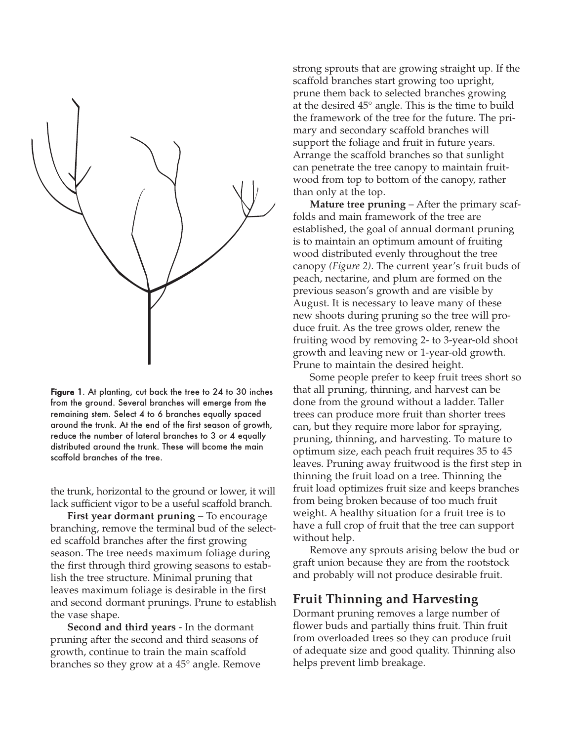

Figure 1. At planting, cut back the tree to 24 to 30 inches from the ground. Several branches will emerge from the remaining stem. Select 4 to 6 branches equally spaced around the trunk. At the end of the first season of growth, reduce the number of lateral branches to 3 or 4 equally distributed around the trunk. These will bcome the main scaffold branches of the tree.

the trunk, horizontal to the ground or lower, it will lack sufficient vigor to be a useful scaffold branch.

**First year dormant pruning** – To encourage branching, remove the terminal bud of the selected scaffold branches after the first growing season. The tree needs maximum foliage during the first through third growing seasons to establish the tree structure. Minimal pruning that leaves maximum foliage is desirable in the first and second dormant prunings. Prune to establish the vase shape.

**Second and third years** - In the dormant pruning after the second and third seasons of growth, continue to train the main scaffold branches so they grow at a 45° angle. Remove strong sprouts that are growing straight up. If the scaffold branches start growing too upright, prune them back to selected branches growing at the desired 45° angle. This is the time to build the framework of the tree for the future. The primary and secondary scaffold branches will support the foliage and fruit in future years. Arrange the scaffold branches so that sunlight can penetrate the tree canopy to maintain fruitwood from top to bottom of the canopy, rather than only at the top.

**Mature tree pruning** – After the primary scaffolds and main framework of the tree are established, the goal of annual dormant pruning is to maintain an optimum amount of fruiting wood distributed evenly throughout the tree canopy *(Figure 2)*. The current year's fruit buds of peach, nectarine, and plum are formed on the previous season's growth and are visible by August. It is necessary to leave many of these new shoots during pruning so the tree will produce fruit. As the tree grows older, renew the fruiting wood by removing 2- to 3-year-old shoot growth and leaving new or 1-year-old growth. Prune to maintain the desired height.

Some people prefer to keep fruit trees short so that all pruning, thinning, and harvest can be done from the ground without a ladder. Taller trees can produce more fruit than shorter trees can, but they require more labor for spraying, pruning, thinning, and harvesting. To mature to optimum size, each peach fruit requires 35 to 45 leaves. Pruning away fruitwood is the first step in thinning the fruit load on a tree. Thinning the fruit load optimizes fruit size and keeps branches from being broken because of too much fruit weight. A healthy situation for a fruit tree is to have a full crop of fruit that the tree can support without help.

Remove any sprouts arising below the bud or graft union because they are from the rootstock and probably will not produce desirable fruit.

#### **Fruit Thinning and Harvesting**

Dormant pruning removes a large number of flower buds and partially thins fruit. Thin fruit from overloaded trees so they can produce fruit of adequate size and good quality. Thinning also helps prevent limb breakage.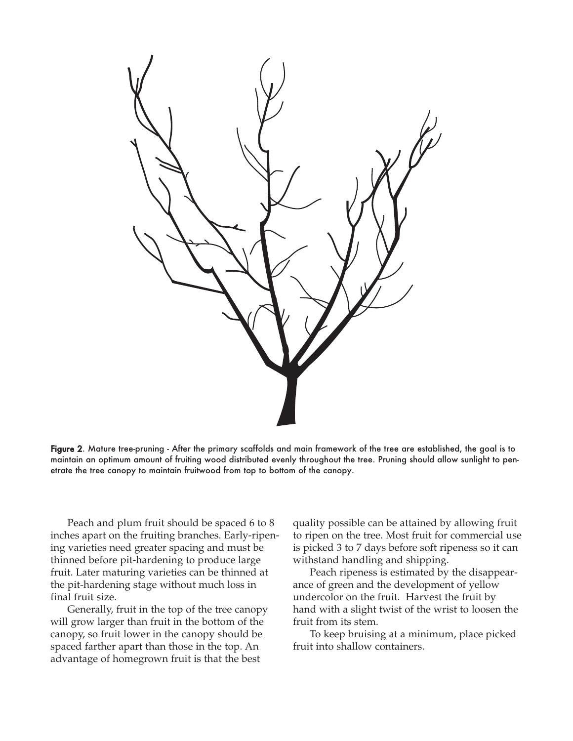

Figure 2. Mature tree-pruning - After the primary scaffolds and main framework of the tree are established, the goal is to maintain an optimum amount of fruiting wood distributed evenly throughout the tree. Pruning should allow sunlight to penetrate the tree canopy to maintain fruitwood from top to bottom of the canopy.

Peach and plum fruit should be spaced 6 to 8 inches apart on the fruiting branches. Early-ripening varieties need greater spacing and must be thinned before pit-hardening to produce large fruit. Later maturing varieties can be thinned at the pit-hardening stage without much loss in final fruit size.

Generally, fruit in the top of the tree canopy will grow larger than fruit in the bottom of the canopy, so fruit lower in the canopy should be spaced farther apart than those in the top. An advantage of homegrown fruit is that the best

quality possible can be attained by allowing fruit to ripen on the tree. Most fruit for commercial use is picked 3 to 7 days before soft ripeness so it can withstand handling and shipping.

Peach ripeness is estimated by the disappearance of green and the development of yellow undercolor on the fruit. Harvest the fruit by hand with a slight twist of the wrist to loosen the fruit from its stem.

To keep bruising at a minimum, place picked fruit into shallow containers.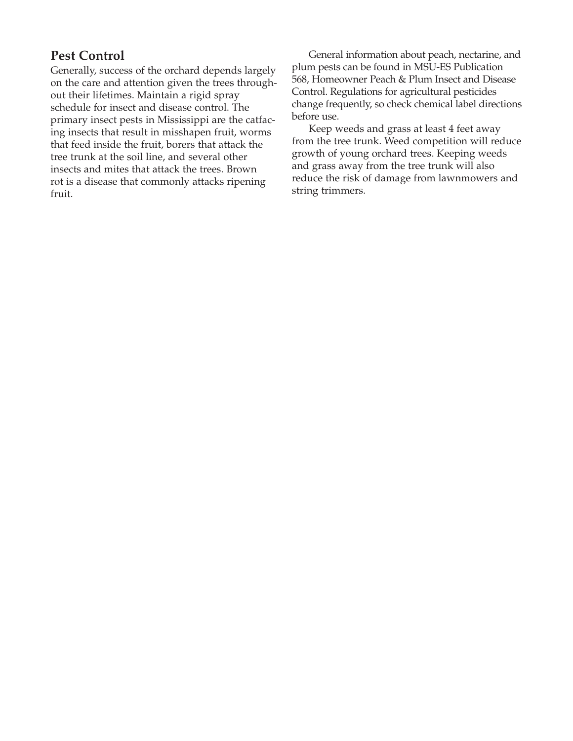# **Pest Control**

Generally, success of the orchard depends largely on the care and attention given the trees throughout their lifetimes. Maintain a rigid spray schedule for insect and disease control. The primary insect pests in Mississippi are the catfacing insects that result in misshapen fruit, worms that feed inside the fruit, borers that attack the tree trunk at the soil line, and several other insects and mites that attack the trees. Brown rot is a disease that commonly attacks ripening fruit.

General information about peach, nectarine, and plum pests can be found in MSU-ES Publication 568, Homeowner Peach & Plum Insect and Disease Control. Regulations for agricultural pesticides change frequently, so check chemical label directions before use.

Keep weeds and grass at least 4 feet away from the tree trunk. Weed competition will reduce growth of young orchard trees. Keeping weeds and grass away from the tree trunk will also reduce the risk of damage from lawnmowers and string trimmers.